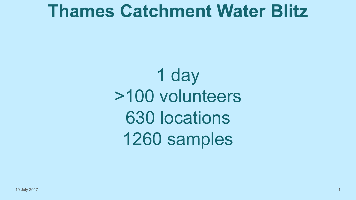### **Thames Catchment Water Blitz**

1 day >100 volunteers 630 locations 1260 samples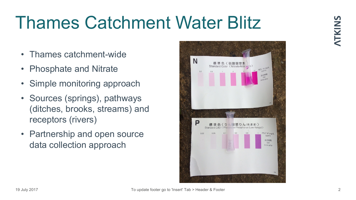## Thames Catchment Water Blitz

- Thames catchment-wide
- Phosphate and Nitrate
- Simple monitoring approach
- Sources (springs), pathways (ditches, brooks, streams) and receptors (rivers)
- Partnership and open source data collection approach

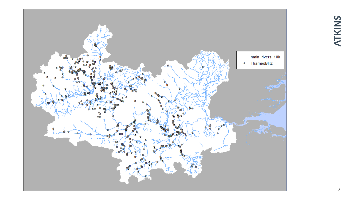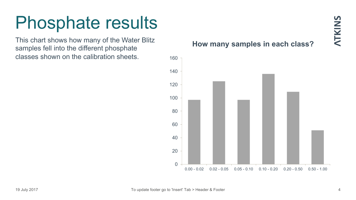This chart shows how many of the Water Blitz samples fell into the different phosphate classes shown on the calibration sheets.

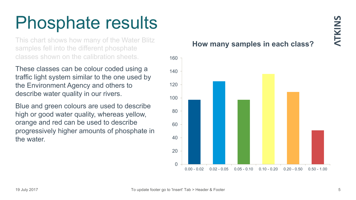This chart shows how many of the Water Blitz samples fell into the different phosphate classes shown on the calibration sheets.

These classes can be colour coded using a traffic light system similar to the one used by the Environment Agency and others to describe water quality in our rivers.

Blue and green colours are used to describe high or good water quality, whereas yellow, orange and red can be used to describe progressively higher amounts of phosphate in the water.

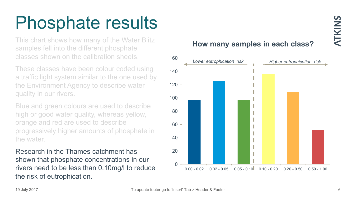This chart shows how many of the Water Blitz samples fell into the different phosphate classes shown on the calibration sheets.

These classes have been colour coded using a traffic light system similar to the one used by the Environment Agency to describe water quality in our rivers.

Blue and green colours are used to describe high or good water quality, whereas yellow, orange and red are used to describe progressively higher amounts of phosphate in the water.

Research in the Thames catchment has shown that phosphate concentrations in our rivers need to be less than 0.10mg/l to reduce the risk of eutrophication.

#### **How many samples in each class?**

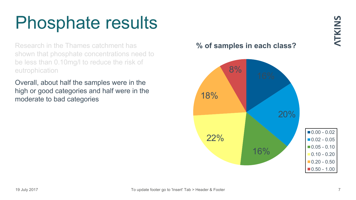Research in the Thames catchment has shown that phosphate concentrations need to be less than 0.10mg/l to reduce the risk of eutrophication

Overall, about half the samples were in the high or good categories and half were in the moderate to bad categories

### **% of samples in each class?**

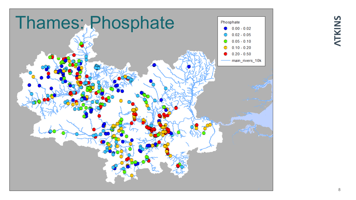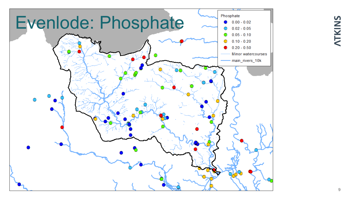

## NTKINS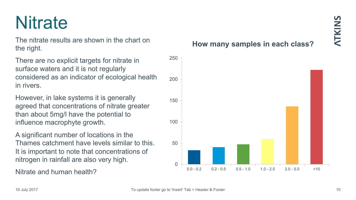## **Nitrate**

The nitrate results are shown in the chart on the right.

There are no explicit targets for nitrate in surface waters and it is not regularly considered as an indicator of ecological health in rivers.

However, in lake systems it is generally agreed that concentrations of nitrate greater than about 5mg/l have the potential to influence macrophyte growth.

A significant number of locations in the Thames catchment have levels similar to this. It is important to note that concentrations of nitrogen in rainfall are also very high.

Nitrate and human health?

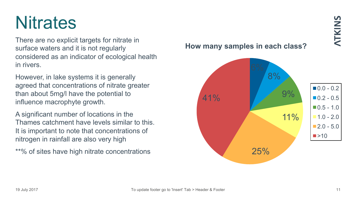### However, in lake systems it is generally

in rivers.

**Nitrates** 

agreed that concentrations of nitrate greater than about 5mg/l have the potential to influence macrophyte growth.

There are no explicit targets for nitrate in

considered as an indicator of ecological health

surface waters and it is not regularly

A significant number of locations in the Thames catchment have levels similar to this. It is important to note that concentrations of nitrogen in rainfall are also very high

\*\*% of sites have high nitrate concentrations

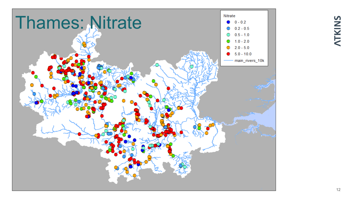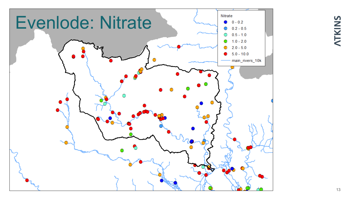

## NTKINS